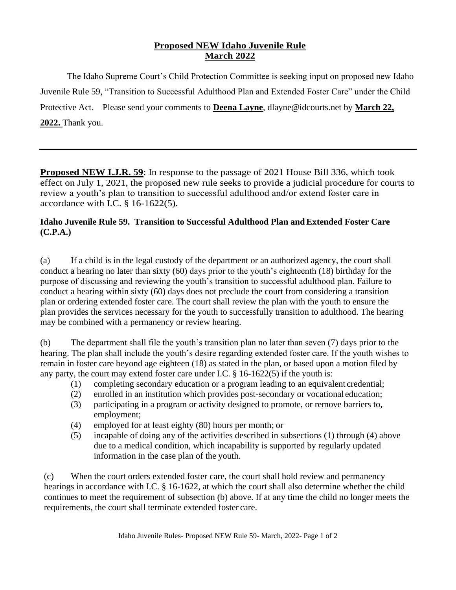## **Proposed NEW Idaho Juvenile Rule March 2022**

The Idaho Supreme Court's Child Protection Committee is seeking input on proposed new Idaho Juvenile Rule 59, "Transition to Successful Adulthood Plan and Extended Foster Care" under the Child Protective Act. Please send your comments to **Deena Layne**, dlayne@idcourts.net by **March 22, 2022.** Thank you.

**Proposed NEW I.J.R. 59**: In response to the passage of 2021 House Bill 336, which took effect on July 1, 2021, the proposed new rule seeks to provide a judicial procedure for courts to review a youth's plan to transition to successful adulthood and/or extend foster care in accordance with I.C. § 16-1622(5).

## **Idaho Juvenile Rule 59. Transition to Successful Adulthood Plan andExtended Foster Care (C.P.A.)**

(a) If a child is in the legal custody of the department or an authorized agency, the court shall conduct a hearing no later than sixty (60) days prior to the youth's eighteenth (18) birthday for the purpose of discussing and reviewing the youth's transition to successful adulthood plan. Failure to conduct a hearing within sixty (60) days does not preclude the court from considering a transition plan or ordering extended foster care. The court shall review the plan with the youth to ensure the plan provides the services necessary for the youth to successfully transition to adulthood. The hearing may be combined with a permanency or review hearing.

(b) The department shall file the youth's transition plan no later than seven (7) days prior to the hearing. The plan shall include the youth's desire regarding extended foster care. If the youth wishes to remain in foster care beyond age eighteen (18) as stated in the plan, or based upon a motion filed by any party, the court may extend foster care under I.C. § 16-1622(5) if the youth is:

- (1) completing secondary education or a program leading to an equivalent credential;
- (2) enrolled in an institution which provides post-secondary or vocational education;
- (3) participating in a program or activity designed to promote, or remove barriers to, employment;
- (4) employed for at least eighty (80) hours per month; or
- (5) incapable of doing any of the activities described in subsections (1) through (4) above due to a medical condition, which incapability is supported by regularly updated information in the case plan of the youth.

(c) When the court orders extended foster care, the court shall hold review and permanency hearings in accordance with I.C. § 16-1622, at which the court shall also determine whether the child continues to meet the requirement of subsection (b) above. If at any time the child no longer meets the requirements, the court shall terminate extended foster care.